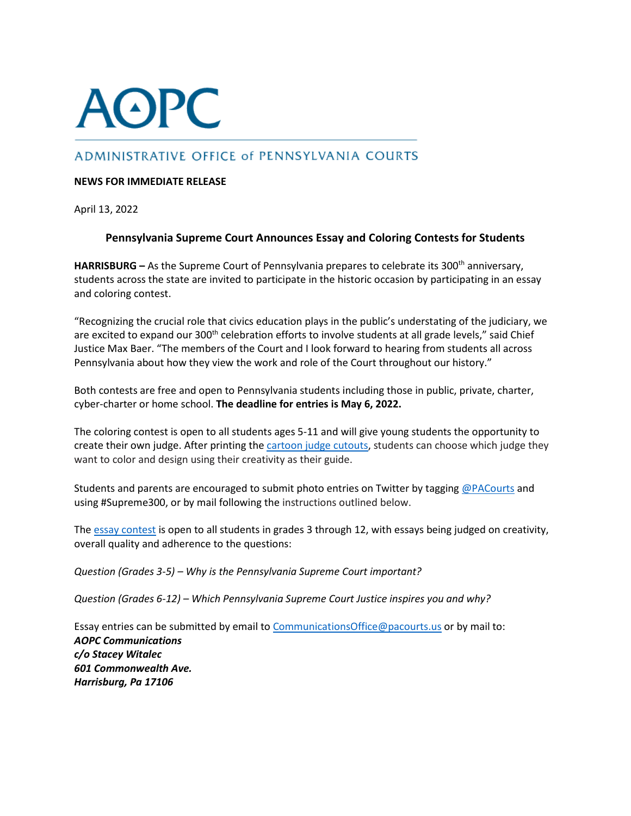## **AOPC**

## ADMINISTRATIVE OFFICE of PENNSYLVANIA COURTS

## **NEWS FOR IMMEDIATE RELEASE**

April 13, 2022

## **Pennsylvania Supreme Court Announces Essay and Coloring Contests for Students**

**HARRISBURG** – As the Supreme Court of Pennsylvania prepares to celebrate its 300<sup>th</sup> anniversary, students across the state are invited to participate in the historic occasion by participating in an essay and coloring contest.

"Recognizing the crucial role that civics education plays in the public's understating of the judiciary, we are excited to expand our 300<sup>th</sup> celebration efforts to involve students at all grade levels," said Chief Justice Max Baer. "The members of the Court and I look forward to hearing from students all across Pennsylvania about how they view the work and role of the Court throughout our history."

Both contests are free and open to Pennsylvania students including those in public, private, charter, cyber-charter or home school. **The deadline for entries is May 6, 2022.**

The coloring contest is open to all students ages 5-11 and will give young students the opportunity to create their own judge. After printing the [cartoon judge cutouts,](https://www.pacourts.us/Storage/media/pdfs/20220412/210502-coloringcontestinstructionsandpages.pdf) students can choose which judge they want to color and design using their creativity as their guide.

Students and parents are encouraged to submit photo entries on Twitter by tagging [@PACourts](https://twitter.com/PACourts) and using #Supreme300, or by mail following the instructions outlined below.

The [essay contest](https://www.pacourts.us/Storage/media/pdfs/20220412/211358-essaycontestflyer.pdf) is open to all students in grades 3 through 12, with essays being judged on creativity, overall quality and adherence to the questions:

*Question (Grades 3-5) – Why is the Pennsylvania Supreme Court important?* 

*Question (Grades 6-12) – Which Pennsylvania Supreme Court Justice inspires you and why?* 

Essay entries can be submitted by email to [CommunicationsOffice@pacourts.us](mailto:CommunicationsOffice@pacourts.us) or by mail to: *AOPC Communications c/o Stacey Witalec 601 Commonwealth Ave. Harrisburg, Pa 17106*